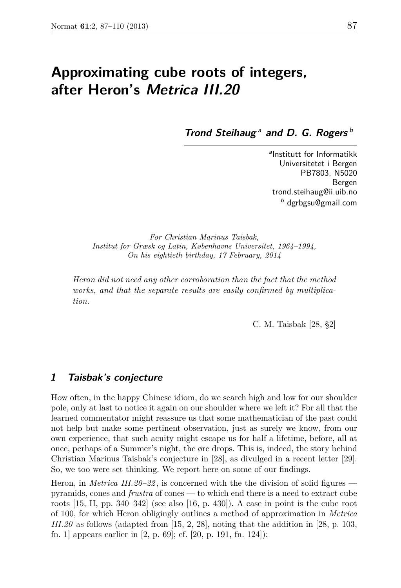# **Approximating cube roots of integers, after Heron's Metrica III.20**

**Trond Steihaug**<sup>*a*</sup> and D. G. Rogers<sup>*b*</sup>

a Institutt for Informatikk Universitetet i Bergen PB7803, N5020 Bergen trond.steihaug@ii.uib.no <sup>b</sup> dgrbgsu@gmail.com

*For Christian Marinus Taisbak, Institut for Græsk og Latin, Københavns Universitet, 1964–1994, On his eightieth birthday, 17 February, 2014*

*Heron did not need any other corroboration than the fact that the method works, and that the separate results are easily confirmed by multiplication.*

C. M. Taisbak [28, §2]

# **1 Taisbak's conjecture**

How often, in the happy Chinese idiom, do we search high and low for our shoulder pole, only at last to notice it again on our shoulder where we left it? For all that the learned commentator might reassure us that some mathematician of the past could not help but make some pertinent observation, just as surely we know, from our own experience, that such acuity might escape us for half a lifetime, before, all at once, perhaps of a Summer's night, the øre drops. This is, indeed, the story behind Christian Marinus Taisbak's conjecture in [28], as divulged in a recent letter [29]. So, we too were set thinking. We report here on some of our findings.

Heron, in *Metrica III.20–22* , is concerned with the the division of solid figures pyramids, cones and *frustra* of cones — to which end there is a need to extract cube roots  $[15, II, pp. 340-342]$  (see also  $[16, p. 430]$ ). A case in point is the cube root of 100, for which Heron obligingly outlines a method of approximation in *Metrica III.20* as follows (adapted from [15, 2, 28], noting that the addition in [28, p. 103, fn. 1] appears earlier in [2, p. 69]; cf. [20, p. 191, fn. 124]):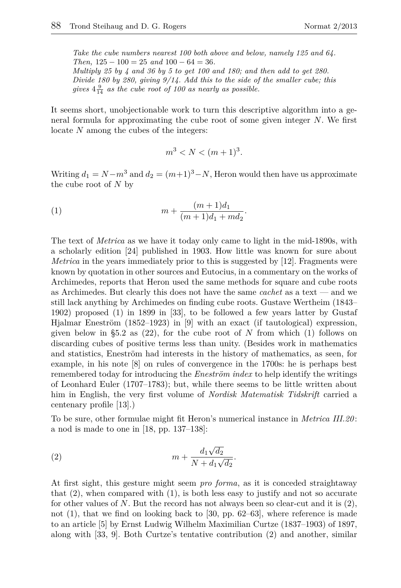*Take the cube numbers nearest 100 both above and below, namely 125 and 64. Then,* 125 − 100 = 25 *and* 100 − 64 = 36*. Multiply 25 by 4 and 36 by 5 to get 100 and 180; and then add to get 280. Divide 180 by 280, giving 9/14. Add this to the side of the smaller cube; this* gives  $4\frac{9}{14}$  as the cube root of 100 as nearly as possible.

It seems short, unobjectionable work to turn this descriptive algorithm into a general formula for approximating the cube root of some given integer *N*. We first locate *N* among the cubes of the integers:

$$
m^3 < N < (m+1)^3.
$$

Writing  $d_1 = N - m^3$  and  $d_2 = (m+1)^3 - N$ , Heron would then have us approximate the cube root of *N* by

(1) 
$$
m + \frac{(m+1)d_1}{(m+1)d_1 + md_2}.
$$

The text of *Metrica* as we have it today only came to light in the mid-1890s, with a scholarly edition [24] published in 1903. How little was known for sure about *Metrica* in the years immediately prior to this is suggested by [12]. Fragments were known by quotation in other sources and Eutocius, in a commentary on the works of Archimedes, reports that Heron used the same methods for square and cube roots as Archimedes. But clearly this does not have the same *cachet* as a text — and we still lack anything by Archimedes on finding cube roots. Gustave Wertheim (1843– 1902) proposed (1) in 1899 in [33], to be followed a few years latter by Gustaf Hjalmar Eneström (1852–1923) in [9] with an exact (if tautological) expression, given below in §5.2 as (22), for the cube root of *N* from which (1) follows on discarding cubes of positive terms less than unity. (Besides work in mathematics and statistics, Eneström had interests in the history of mathematics, as seen, for example, in his note [8] on rules of convergence in the 1700s: he is perhaps best remembered today for introducing the *Eneström index* to help identify the writings of Leonhard Euler (1707–1783); but, while there seems to be little written about him in English, the very first volume of *Nordisk Matematisk Tidskrift* carried a centenary profile [13].)

To be sure, other formulae might fit Heron's numerical instance in *Metrica III.20* : a nod is made to one in [18, pp. 137–138]:

(2) 
$$
m + \frac{d_1 \sqrt{d_2}}{N + d_1 \sqrt{d_2}}.
$$

At first sight, this gesture might seem *pro forma*, as it is conceded straightaway that  $(2)$ , when compared with  $(1)$ , is both less easy to justify and not so accurate for other values of *N*. But the record has not always been so clear-cut and it is (2), not (1), that we find on looking back to [30, pp. 62–63], where reference is made to an article [5] by Ernst Ludwig Wilhelm Maximilian Curtze (1837–1903) of 1897, along with [33, 9]. Both Curtze's tentative contribution (2) and another, similar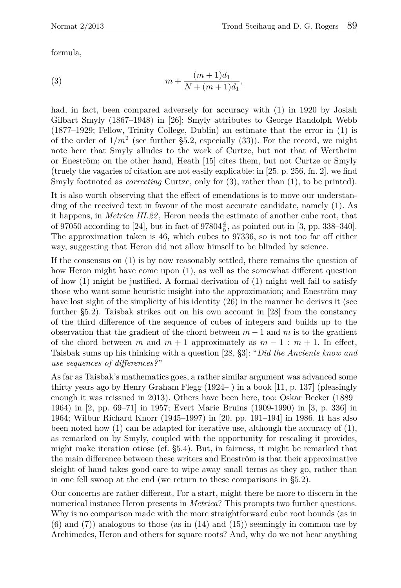formula,

(3) 
$$
m + \frac{(m+1)d_1}{N + (m+1)d_1},
$$

had, in fact, been compared adversely for accuracy with  $(1)$  in 1920 by Josiah Gilbart Smyly (1867–1948) in [26]; Smyly attributes to George Randolph Webb (1877–1929; Fellow, Trinity College, Dublin) an estimate that the error in (1) is of the order of  $1/m^2$  (see further §5.2, especially  $(33)$ ). For the record, we might note here that Smyly alludes to the work of Curtze, but not that of Wertheim or Eneström; on the other hand, Heath [15] cites them, but not Curtze or Smyly (truely the vagaries of citation are not easily explicable: in [25, p. 256, fn. 2], we find Smyly footnoted as *correcting* Curtze, only for (3), rather than (1), to be printed).

It is also worth observing that the effect of emendations is to move our understanding of the received text in favour of the most accurate candidate, namely (1). As it happens, in *Metrica III.22* , Heron needs the estimate of another cube root, that of 97050 according to [24], but in fact of  $97804\frac{4}{5}$ , as pointed out in [3, pp. 338–340]. The approximation taken is 46, which cubes to 97336, so is not too far off either way, suggesting that Heron did not allow himself to be blinded by science.

If the consensus on (1) is by now reasonably settled, there remains the question of how Heron might have come upon (1), as well as the somewhat different question of how (1) might be justified. A formal derivation of (1) might well fail to satisfy those who want some heuristic insight into the approximation; and Eneström may have lost sight of the simplicity of his identity  $(26)$  in the manner he derives it (see further §5.2). Taisbak strikes out on his own account in [28] from the constancy of the third difference of the sequence of cubes of integers and builds up to the observation that the gradient of the chord between *m* − 1 and *m* is to the gradient of the chord between *m* and  $m + 1$  approximately as  $m - 1$  :  $m + 1$ . In effect, Taisbak sums up his thinking with a question [28, §3]: "*Did the Ancients know and use sequences of differences?*"

As far as Taisbak's mathematics goes, a rather similar argument was advanced some thirty years ago by Henry Graham Flegg (1924– ) in a book [11, p. 137] (pleasingly enough it was reissued in 2013). Others have been here, too: Oskar Becker (1889– 1964) in [2, pp. 69–71] in 1957; Evert Marie Bruins (1909-1990) in [3, p. 336] in 1964; Wilbur Richard Knorr (1945–1997) in [20, pp. 191–194] in 1986. It has also been noted how (1) can be adapted for iterative use, although the accuracy of (1), as remarked on by Smyly, coupled with the opportunity for rescaling it provides, might make iteration otiose (cf. §5.4). But, in fairness, it might be remarked that the main difference between these writers and Eneström is that their approximative sleight of hand takes good care to wipe away small terms as they go, rather than in one fell swoop at the end (we return to these comparisons in §5.2).

Our concerns are rather different. For a start, might there be more to discern in the numerical instance Heron presents in *Metrica*? This prompts two further questions. Why is no comparison made with the more straightforward cube root bounds (as in  $(6)$  and  $(7)$ ) analogous to those (as in  $(14)$  and  $(15)$ ) seemingly in common use by Archimedes, Heron and others for square roots? And, why do we not hear anything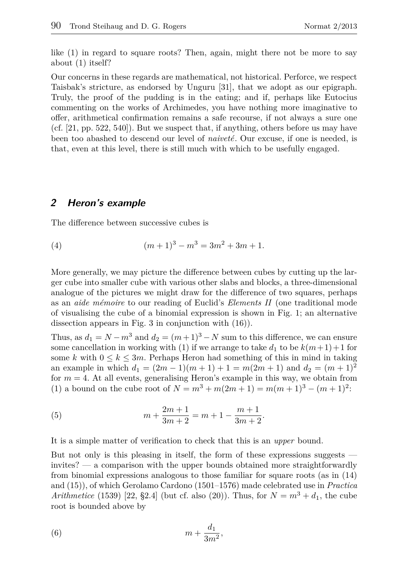like (1) in regard to square roots? Then, again, might there not be more to say about (1) itself?

Our concerns in these regards are mathematical, not historical. Perforce, we respect Taisbak's stricture, as endorsed by Unguru [31], that we adopt as our epigraph. Truly, the proof of the pudding is in the eating; and if, perhaps like Eutocius commenting on the works of Archimedes, you have nothing more imaginative to offer, arithmetical confirmation remains a safe recourse, if not always a sure one (cf. [21, pp. 522, 540]). But we suspect that, if anything, others before us may have been too abashed to descend our level of *naiveté*. Our excuse, if one is needed, is that, even at this level, there is still much with which to be usefully engaged.

# **2 Heron's example**

The difference between successive cubes is

(4) 
$$
(m+1)^3 - m^3 = 3m^2 + 3m + 1.
$$

More generally, we may picture the difference between cubes by cutting up the larger cube into smaller cube with various other slabs and blocks, a three-dimensional analogue of the pictures we might draw for the difference of two squares, perhaps as an *aide mémoire* to our reading of Euclid's *Elements II* (one traditional mode of visualising the cube of a binomial expression is shown in Fig. 1; an alternative dissection appears in Fig. 3 in conjunction with (16)).

Thus, as  $d_1 = N - m^3$  and  $d_2 = (m+1)^3 - N$  sum to this difference, we can ensure some cancellation in working with (1) if we arrange to take  $d_1$  to be  $k(m+1)+1$  for some *k* with  $0 \leq k \leq 3m$ . Perhaps Heron had something of this in mind in taking an example in which  $d_1 = (2m - 1)(m + 1) + 1 = m(2m + 1)$  and  $d_2 = (m + 1)^2$ for  $m = 4$ . At all events, generalising Heron's example in this way, we obtain from (1) a bound on the cube root of  $N = m^3 + m(2m + 1) = m(m + 1)^3 - (m + 1)^2$ :

(5) 
$$
m + \frac{2m+1}{3m+2} = m+1 - \frac{m+1}{3m+2}.
$$

It is a simple matter of verification to check that this is an *upper* bound.

But not only is this pleasing in itself, the form of these expressions suggests invites? — a comparison with the upper bounds obtained more straightforwardly from binomial expressions analogous to those familiar for square roots (as in (14) and (15)), of which Gerolamo Cardono (1501–1576) made celebrated use in *Practica Arithmetice* (1539) [22, §2.4] (but cf. also (20)). Thus, for  $N = m^3 + d_1$ , the cube root is bounded above by

$$
(6) \t\t\t m + \frac{d_1}{3m^2},
$$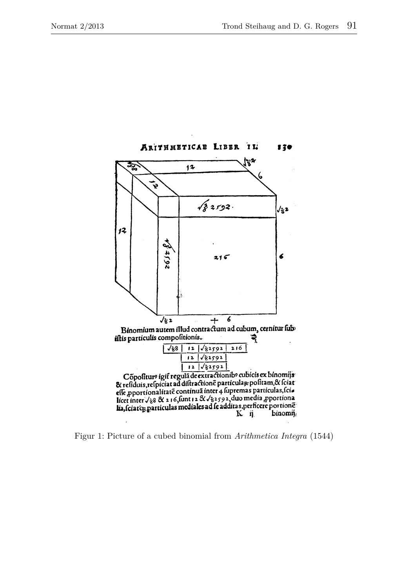

erated on 2012-05-04 06:41 die 2012-05-04 06:41 GMT / http://www.satisfaction.com<br>Suite of 2027/ucm. Figur 1: Picture of a cubed binomial from *Arithmetica Integra* (1544)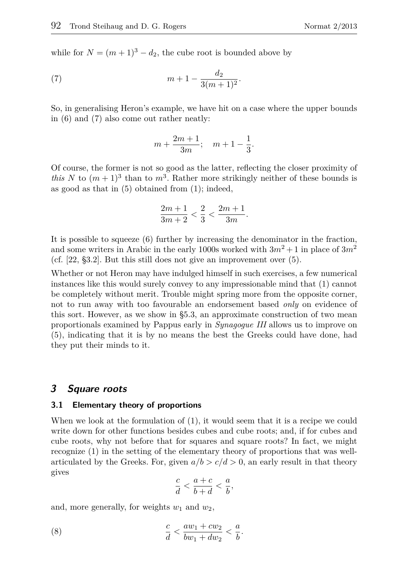while for  $N = (m + 1)^3 - d_2$ , the cube root is bounded above by

(7) 
$$
m+1-\frac{d_2}{3(m+1)^2}.
$$

So, in generalising Heron's example, we have hit on a case where the upper bounds in (6) and (7) also come out rather neatly:

$$
m + \frac{2m+1}{3m}
$$
;  $m+1-\frac{1}{3}$ .

Of course, the former is not so good as the latter, reflecting the closer proximity of *this N* to  $(m+1)^3$  than to  $m^3$ . Rather more strikingly neither of these bounds is as good as that in  $(5)$  obtained from  $(1)$ ; indeed,

$$
\frac{2m+1}{3m+2} < \frac{2}{3} < \frac{2m+1}{3m}.
$$

It is possible to squeeze (6) further by increasing the denominator in the fraction, and some writers in Arabic in the early 1000s worked with  $3m^2 + 1$  in place of  $3m^2$ (cf. [22, §3.2]. But this still does not give an improvement over (5).

Whether or not Heron may have indulged himself in such exercises, a few numerical instances like this would surely convey to any impressionable mind that (1) cannot be completely without merit. Trouble might spring more from the opposite corner, not to run away with too favourable an endorsement based *only* on evidence of this sort. However, as we show in §5.3, an approximate construction of two mean proportionals examined by Pappus early in *Synagogue III* allows us to improve on (5), indicating that it is by no means the best the Greeks could have done, had they put their minds to it.

### **3 Square roots**

#### **3.1 Elementary theory of proportions**

When we look at the formulation of (1), it would seem that it is a recipe we could write down for other functions besides cubes and cube roots; and, if for cubes and cube roots, why not before that for squares and square roots? In fact, we might recognize (1) in the setting of the elementary theory of proportions that was wellarticulated by the Greeks. For, given  $a/b > c/d > 0$ , an early result in that theory gives

$$
\frac{c}{d} < \frac{a+c}{b+d} < \frac{a}{b},
$$

and, more generally, for weights *w*<sup>1</sup> and *w*2,

(8) 
$$
\frac{c}{d} < \frac{aw_1 + cw_2}{bw_1 + dw_2} < \frac{a}{b}.
$$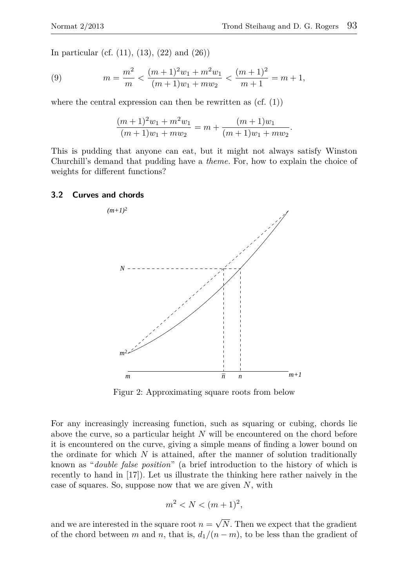In particular (cf. (11), (13), (22) and (26))

(9) 
$$
m = \frac{m^2}{m} < \frac{(m+1)^2 w_1 + m^2 w_1}{(m+1)w_1 + mw_2} < \frac{(m+1)^2}{m+1} = m+1,
$$

where the central expression can then be rewritten as  $(cf. (1))$ 

$$
\frac{(m+1)^2w_1 + m^2w_1}{(m+1)w_1 + mw_2} = m + \frac{(m+1)w_1}{(m+1)w_1 + mw_2}.
$$

This is pudding that anyone can eat, but it might not always satisfy Winston Churchill's demand that pudding have a *theme*. For, how to explain the choice of weights for different functions?

#### **3.2 Curves and chords**



Figur 2: Approximating square roots from below

For any increasingly increasing function, such as squaring or cubing, chords lie above the curve, so a particular height *N* will be encountered on the chord before it is encountered on the curve, giving a simple means of finding a lower bound on the ordinate for which  $N$  is attained, after the manner of solution traditionally known as "*double false position*" (a brief introduction to the history of which is recently to hand in [17]). Let us illustrate the thinking here rather naively in the case of squares. So, suppose now that we are given *N*, with

$$
m^2 < N < (m+1)^2
$$

and we are interested in the square root  $n =$ √ *N*. Then we expect that the gradient of the chord between *m* and *n*, that is,  $d_1/(n-m)$ , to be less than the gradient of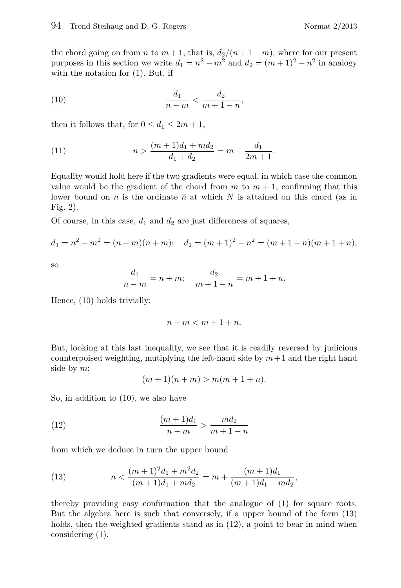the chord going on from *n* to  $m + 1$ , that is,  $d_2/(n + 1 - m)$ , where for our present purposes in this section we write  $d_1 = n^2 - m^2$  and  $d_2 = (m+1)^2 - n^2$  in analogy with the notation for (1). But, if

(10) 
$$
\frac{d_1}{n-m} < \frac{d_2}{m+1-n},
$$

then it follows that, for  $0 \leq d_1 \leq 2m+1$ ,

(11) 
$$
n > \frac{(m+1)d_1 + md_2}{d_1 + d_2} = m + \frac{d_1}{2m+1}.
$$

Equality would hold here if the two gradients were equal, in which case the common value would be the gradient of the chord from  $m$  to  $m + 1$ , confirming that this lower bound on *n* is the ordinate  $\bar{n}$  at which *N* is attained on this chord (as in Fig. 2).

Of course, in this case,  $d_1$  and  $d_2$  are just differences of squares,

$$
d_1 = n^2 - m^2 = (n - m)(n + m); \quad d_2 = (m + 1)^2 - n^2 = (m + 1 - n)(m + 1 + n),
$$

so

$$
\frac{d_1}{n-m} = n+m; \quad \frac{d_2}{m+1-n} = m+1+n.
$$

Hence, (10) holds trivially:

$$
n+m
$$

But, looking at this last inequality, we see that it is readily reversed by judicious counterpoised weighting, mutiplying the left-hand side by  $m+1$  and the right hand side by *m*:

$$
(m+1)(n+m) > m(m+1+n).
$$

So, in addition to (10), we also have

(12) 
$$
\frac{(m+1)d_1}{n-m} > \frac{md_2}{m+1-n}
$$

from which we deduce in turn the upper bound

(13) 
$$
n < \frac{(m+1)^2d_1 + m^2d_2}{(m+1)d_1 + md_2} = m + \frac{(m+1)d_1}{(m+1)d_1 + md_2},
$$

thereby providing easy confirmation that the analogue of (1) for square roots. But the algebra here is such that conversely, if a upper bound of the form (13) holds, then the weighted gradients stand as in  $(12)$ , a point to bear in mind when considering (1).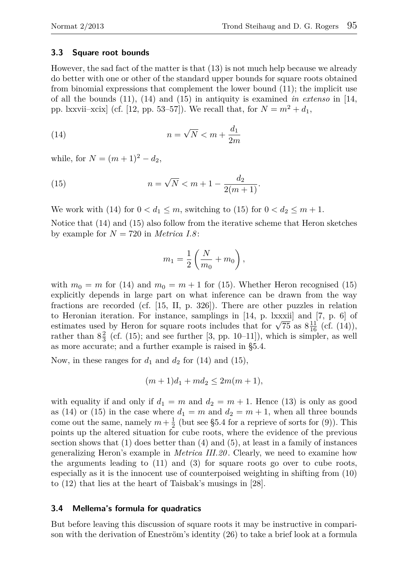#### **3.3 Square root bounds**

However, the sad fact of the matter is that (13) is not much help because we already do better with one or other of the standard upper bounds for square roots obtained from binomial expressions that complement the lower bound (11); the implicit use of all the bounds (11), (14) and (15) in antiquity is examined *in extenso* in [14, pp. lxxvii–xcix] (cf. [12, pp. 53–57]). We recall that, for  $N = m^2 + d_1$ ,

(14) 
$$
n = \sqrt{N} < m + \frac{d_1}{2m}
$$

while, for  $N = (m+1)^2 - d_2$ ,

(15) 
$$
n = \sqrt{N} < m + 1 - \frac{d_2}{2(m+1)}.
$$

We work with (14) for  $0 < d_1 \leq m$ , switching to (15) for  $0 < d_2 \leq m + 1$ .

Notice that (14) and (15) also follow from the iterative scheme that Heron sketches by example for  $N = 720$  in *Metrica 1.8*:

$$
m_1 = \frac{1}{2} \left( \frac{N}{m_0} + m_0 \right),
$$

with  $m_0 = m$  for (14) and  $m_0 = m + 1$  for (15). Whether Heron recognised (15) explicitly depends in large part on what inference can be drawn from the way fractions are recorded (cf. [15, II, p. 326]). There are other puzzles in relation to Heronian iteration. For instance, samplings in [14, p. lxxxii] and [7, p. 6] of to Heronian iteration. For instance, samplings in [14, p. ixxxii] and [*i*, p. b] of estimates used by Heron for square roots includes that for  $\sqrt{75}$  as  $8\frac{11}{16}$  (cf. (14)), rather than  $8\frac{2}{3}$  (cf. (15); and see further [3, pp. 10–11]), which is simpler, as well as more accurate; and a further example is raised in §5.4.

Now, in these ranges for  $d_1$  and  $d_2$  for (14) and (15),

$$
(m+1)d_1 + md_2 \le 2m(m+1),
$$

with equality if and only if  $d_1 = m$  and  $d_2 = m + 1$ . Hence (13) is only as good as (14) or (15) in the case where  $d_1 = m$  and  $d_2 = m + 1$ , when all three bounds come out the same, namely  $m + \frac{1}{2}$  (but see §5.4 for a reprieve of sorts for (9)). This points up the altered situation for cube roots, where the evidence of the previous section shows that  $(1)$  does better than  $(4)$  and  $(5)$ , at least in a family of instances generalizing Heron's example in *Metrica III.20* . Clearly, we need to examine how the arguments leading to (11) and (3) for square roots go over to cube roots, especially as it is the innocent use of counterpoised weighting in shifting from (10) to (12) that lies at the heart of Taisbak's musings in [28].

#### **3.4 Mellema's formula for quadratics**

But before leaving this discussion of square roots it may be instructive in comparison with the derivation of Eneström's identity (26) to take a brief look at a formula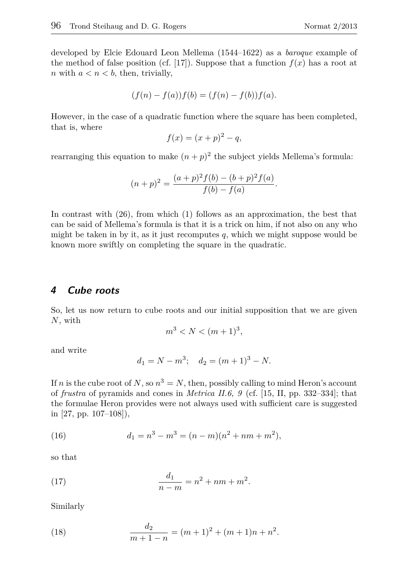developed by Elcie Edouard Leon Mellema (1544–1622) as a *baroque* example of the method of false position (cf. [17]). Suppose that a function  $f(x)$  has a root at *n* with  $a < n < b$ , then, trivially,

$$
(f(n) - f(a))f(b) = (f(n) - f(b))f(a).
$$

However, in the case of a quadratic function where the square has been completed, that is, where

$$
f(x) = (x+p)^2 - q,
$$

rearranging this equation to make  $(n+p)^2$  the subject yields Mellema's formula:

$$
(n+p)^{2} = \frac{(a+p)^{2} f(b) - (b+p)^{2} f(a)}{f(b) - f(a)}.
$$

In contrast with (26), from which (1) follows as an approximation, the best that can be said of Mellema's formula is that it is a trick on him, if not also on any who might be taken in by it, as it just recomputes  $q$ , which we might suppose would be known more swiftly on completing the square in the quadratic.

### **4 Cube roots**

So, let us now return to cube roots and our initial supposition that we are given *N*, with

$$
m^3 < N < (m+1)^3
$$

and write

$$
d_1 = N - m^3; \quad d_2 = (m+1)^3 - N.
$$

If *n* is the cube root of *N*, so  $n^3 = N$ , then, possibly calling to mind Heron's account of *frustra* of pyramids and cones in *Metrica II.6, 9* (cf. [15, II, pp. 332–334]; that the formulae Heron provides were not always used with sufficient care is suggested in [27, pp. 107–108]),

(16) 
$$
d_1 = n^3 - m^3 = (n - m)(n^2 + nm + m^2),
$$

so that

(17) 
$$
\frac{d_1}{n-m} = n^2 + nm + m^2.
$$

Similarly

(18) 
$$
\frac{d_2}{m+1-n} = (m+1)^2 + (m+1)n + n^2.
$$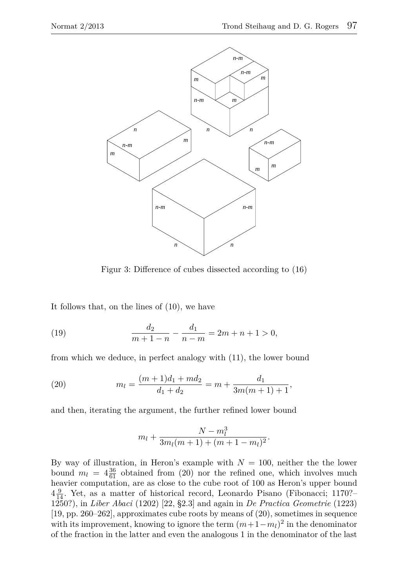

Figur 3: Difference of cubes dissected according to (16)

It follows that, on the lines of (10), we have

(19) 
$$
\frac{d_2}{m+1-n} - \frac{d_1}{n-m} = 2m+n+1 > 0,
$$

from which we deduce, in perfect analogy with (11), the lower bound

(20) 
$$
m_l = \frac{(m+1)d_1 + md_2}{d_1 + d_2} = m + \frac{d_1}{3m(m+1) + 1},
$$

and then, iterating the argument, the further refined lower bound

$$
m_l + \frac{N - m_l^3}{3m_l(m+1) + (m+1 - m_l)^2}.
$$

By way of illustration, in Heron's example with  $N = 100$ , neither the the lower bound  $m_l = 4\frac{36}{61}$  obtained from (20) nor the refined one, which involves much heavier computation, are as close to the cube root of 100 as Heron's upper bound  $4\frac{9}{14}$ . Yet, as a matter of historical record, Leonardo Pisano (Fibonacci; 1170?– 1250?), in *Liber Abaci* (1202) [22, §2.3] and again in *De Practica Geometrie* (1223) [19, pp. 260–262], approximates cube roots by means of (20), sometimes in sequence with its improvement, knowing to ignore the term  $(m+1-m_l)^2$  in the denominator of the fraction in the latter and even the analogous 1 in the denominator of the last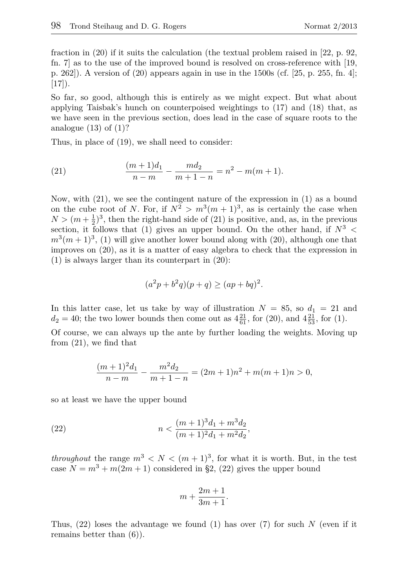fraction in (20) if it suits the calculation (the textual problem raised in [22, p. 92, fn. 7] as to the use of the improved bound is resolved on cross-reference with [19, p. 262]). A version of (20) appears again in use in the 1500s (cf. [25, p. 255, fn. 4];  $[17]$ .

So far, so good, although this is entirely as we might expect. But what about applying Taisbak's hunch on counterpoised weightings to (17) and (18) that, as we have seen in the previous section, does lead in the case of square roots to the analogue  $(13)$  of  $(1)$ ?

Thus, in place of (19), we shall need to consider:

(21) 
$$
\frac{(m+1)d_1}{n-m} - \frac{md_2}{m+1-n} = n^2 - m(m+1).
$$

Now, with (21), we see the contingent nature of the expression in (1) as a bound on the cube root of *N*. For, if  $N^2 > m^3(m+1)^3$ , as is certainly the case when  $N > (m + \frac{1}{2})^3$ , then the right-hand side of (21) is positive, and, as, in the previous section, it follows that (1) gives an upper bound. On the other hand, if  $N^3$  <  $m^3(m+1)^3$ , (1) will give another lower bound along with (20), although one that improves on (20), as it is a matter of easy algebra to check that the expression in (1) is always larger than its counterpart in (20):

$$
(a2p + b2q)(p + q) \ge (ap + bq)2.
$$

In this latter case, let us take by way of illustration  $N = 85$ , so  $d_1 = 21$  and  $d_2 = 40$ ; the two lower bounds then come out as  $4\frac{21}{61}$ , for (20), and  $4\frac{21}{53}$ , for (1).

Of course, we can always up the ante by further loading the weights. Moving up from (21), we find that

$$
\frac{(m+1)^2d_1}{n-m} - \frac{m^2d_2}{m+1-n} = (2m+1)n^2 + m(m+1)n > 0,
$$

so at least we have the upper bound

(22) 
$$
n < \frac{(m+1)^3 d_1 + m^3 d_2}{(m+1)^2 d_1 + m^2 d_2},
$$

*throughout* the range  $m^3 < N < (m+1)^3$ , for what it is worth. But, in the test case  $N = m^3 + m(2m + 1)$  considered in §2, (22) gives the upper bound

$$
m + \frac{2m+1}{3m+1}.
$$

Thus, (22) loses the advantage we found (1) has over (7) for such *N* (even if it remains better than (6)).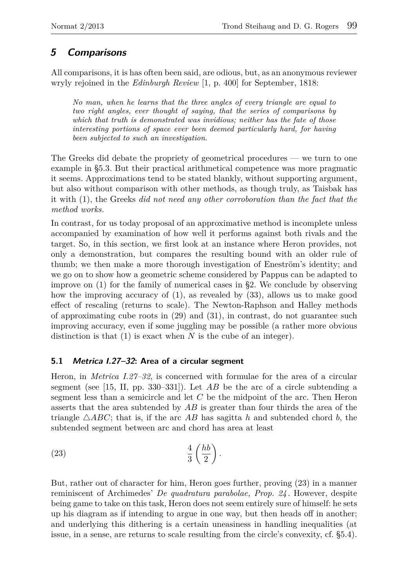# **5 Comparisons**

All comparisons, it is has often been said, are odious, but, as an anonymous reviewer wryly rejoined in the *Edinburgh Review* [1, p. 400] for September, 1818:

*No man, when he learns that the three angles of every triangle are equal to two right angles, ever thought of saying, that the series of comparisons by which that truth is demonstrated was invidious; neither has the fate of those interesting portions of space ever been deemed particularly hard, for having been subjected to such an investigation.*

The Greeks did debate the propriety of geometrical procedures — we turn to one example in §5.3. But their practical arithmetical competence was more pragmatic it seems. Approximations tend to be stated blankly, without supporting argument, but also without comparison with other methods, as though truly, as Taisbak has it with (1), the Greeks *did not need any other corroboration than the fact that the method works*.

In contrast, for us today proposal of an approximative method is incomplete unless accompanied by examination of how well it performs against both rivals and the target. So, in this section, we first look at an instance where Heron provides, not only a demonstration, but compares the resulting bound with an older rule of thumb; we then make a more thorough investigation of Eneström's identity; and we go on to show how a geometric scheme considered by Pappus can be adapted to improve on (1) for the family of numerical cases in §2. We conclude by observing how the improving accuracy of (1), as revealed by (33), allows us to make good effect of rescaling (returns to scale). The Newton-Raphson and Halley methods of approximating cube roots in (29) and (31), in contrast, do not guarantee such improving accuracy, even if some juggling may be possible (a rather more obvious distinction is that (1) is exact when *N* is the cube of an integer).

# **5.1 Metrica I.27–32: Area of a circular segment**

Heron, in *Metrica I.27–32*, is concerned with formulae for the area of a circular segment (see [15, II, pp. 330–331]). Let  $AB$  be the arc of a circle subtending a segment less than a semicircle and let *C* be the midpoint of the arc. Then Heron asserts that the area subtended by *AB* is greater than four thirds the area of the triangle  $\triangle ABC$ ; that is, if the arc *AB* has sagitta *h* and subtended chord *b*, the subtended segment between arc and chord has area at least

$$
\frac{4}{3}\left(\frac{hb}{2}\right).
$$

But, rather out of character for him, Heron goes further, proving (23) in a manner reminiscent of Archimedes' *De quadratura parabolae, Prop. 24* . However, despite being game to take on this task, Heron does not seem entirely sure of himself: he sets up his diagram as if intending to argue in one way, but then heads off in another; and underlying this dithering is a certain uneasiness in handling inequalities (at issue, in a sense, are returns to scale resulting from the circle's convexity, cf. §5.4).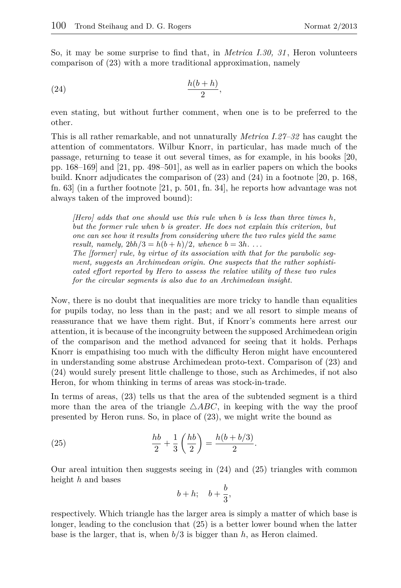So, it may be some surprise to find that, in *Metrica I.30, 31* , Heron volunteers comparison of (23) with a more traditional approximation, namely

$$
\frac{h(b+h)}{2},
$$

even stating, but without further comment, when one is to be preferred to the other.

This is all rather remarkable, and not unnaturally *Metrica I.27–32* has caught the attention of commentators. Wilbur Knorr, in particular, has made much of the passage, returning to tease it out several times, as for example, in his books [20, pp. 168–169] and [21, pp. 498–501], as well as in earlier papers on which the books build. Knorr adjudicates the comparison of (23) and (24) in a footnote [20, p. 168, fn. 63] (in a further footnote [21, p. 501, fn. 34], he reports how advantage was not always taken of the improved bound):

*[Hero] adds that one should use this rule when b is less than three times h, but the former rule when b is greater. He does not explain this criterion, but one can see how it results from considering where the two rules yield the same result, namely,*  $2bh/3 = h(b+h)/2$ *, whence*  $b = 3h$ *.... The [former] rule, by virtue of its association with that for the parabolic segment, suggests an Archimedean origin. One suspects that the rather sophisticated effort reported by Hero to assess the relative utility of these two rules for the circular segments is also due to an Archimedean insight.*

Now, there is no doubt that inequalities are more tricky to handle than equalities for pupils today, no less than in the past; and we all resort to simple means of reassurance that we have them right. But, if Knorr's comments here arrest our attention, it is because of the incongruity between the supposed Archimedean origin of the comparison and the method advanced for seeing that it holds. Perhaps Knorr is empathising too much with the difficulty Heron might have encountered in understanding some abstruse Archimedean proto-text. Comparison of (23) and (24) would surely present little challenge to those, such as Archimedes, if not also Heron, for whom thinking in terms of areas was stock-in-trade.

In terms of areas, (23) tells us that the area of the subtended segment is a third more than the area of the triangle  $\triangle ABC$ , in keeping with the way the proof presented by Heron runs. So, in place of (23), we might write the bound as

(25) 
$$
\frac{hb}{2} + \frac{1}{3} \left( \frac{hb}{2} \right) = \frac{h(b + b/3)}{2}.
$$

Our areal intuition then suggests seeing in (24) and (25) triangles with common height *h* and bases

$$
b+h; \quad b+\frac{b}{3},
$$

respectively. Which triangle has the larger area is simply a matter of which base is longer, leading to the conclusion that (25) is a better lower bound when the latter base is the larger, that is, when *b/*3 is bigger than *h*, as Heron claimed.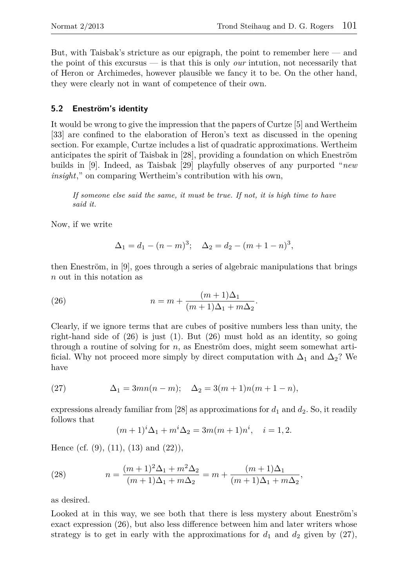But, with Taisbak's stricture as our epigraph, the point to remember here — and the point of this excursus — is that this is only *our* intution, not necessarily that of Heron or Archimedes, however plausible we fancy it to be. On the other hand, they were clearly not in want of competence of their own.

### **5.2 Eneström's identity**

It would be wrong to give the impression that the papers of Curtze [5] and Wertheim [33] are confined to the elaboration of Heron's text as discussed in the opening section. For example, Curtze includes a list of quadratic approximations. Wertheim anticipates the spirit of Taisbak in [28], providing a foundation on which Eneström builds in [9]. Indeed, as Taisbak [29] playfully observes of any purported "*new insight*," on comparing Wertheim's contribution with his own,

*If someone else said the same, it must be true. If not, it is high time to have said it.*

Now, if we write

$$
\Delta_1 = d_1 - (n - m)^3; \quad \Delta_2 = d_2 - (m + 1 - n)^3,
$$

then Eneström, in [9], goes through a series of algebraic manipulations that brings *n* out in this notation as

(26) 
$$
n = m + \frac{(m+1)\Delta_1}{(m+1)\Delta_1 + m\Delta_2}.
$$

Clearly, if we ignore terms that are cubes of positive numbers less than unity, the right-hand side of (26) is just (1). But (26) must hold as an identity, so going through a routine of solving for *n*, as Eneström does, might seem somewhat artificial. Why not proceed more simply by direct computation with  $\Delta_1$  and  $\Delta_2$ ? We have

(27) 
$$
\Delta_1 = 3mn(n-m); \quad \Delta_2 = 3(m+1)n(m+1-n),
$$

expressions already familiar from  $[28]$  as approximations for  $d_1$  and  $d_2$ . So, it readily follows that

$$
(m+1)i\Delta_1 + mi\Delta_2 = 3m(m+1)ni, \quad i = 1, 2.
$$

Hence (cf.  $(9)$ ,  $(11)$ ,  $(13)$  and  $(22)$ ),

(28) 
$$
n = \frac{(m+1)^2 \Delta_1 + m^2 \Delta_2}{(m+1)\Delta_1 + m\Delta_2} = m + \frac{(m+1)\Delta_1}{(m+1)\Delta_1 + m\Delta_2},
$$

as desired.

Looked at in this way, we see both that there is less mystery about Eneström's exact expression (26), but also less difference between him and later writers whose strategy is to get in early with the approximations for  $d_1$  and  $d_2$  given by (27),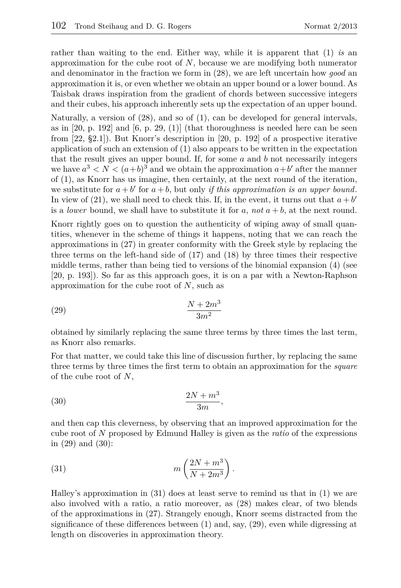rather than waiting to the end. Either way, while it is apparent that (1) *is* an approximation for the cube root of *N*, because we are modifying both numerator and denominator in the fraction we form in (28), we are left uncertain how *good* an approximation it is, or even whether we obtain an upper bound or a lower bound. As Taisbak draws inspiration from the gradient of chords between successive integers and their cubes, his approach inherently sets up the expectation of an upper bound.

Naturally, a version of (28), and so of (1), can be developed for general intervals, as in  $[20, p. 192]$  and  $[6, p. 29, (1)]$  (that thoroughness is needed here can be seen from [22, §2.1]). But Knorr's description in [20, p. 192] of a prospective iterative application of such an extension of (1) also appears to be written in the expectation that the result gives an upper bound. If, for some *a* and *b* not necessarily integers we have  $a^3 < N < (a+b)^3$  and we obtain the approximation  $a+b'$  after the manner of (1), as Knorr has us imagine, then certainly, at the next round of the iteration, we substitute for  $a + b'$  for  $a + b$ , but only *if this approximation is an upper bound*. In view of (21), we shall need to check this. If, in the event, it turns out that  $a + b'$ is a *lower* bound, we shall have to substitute it for  $a$ , not  $a + b$ , at the next round.

Knorr rightly goes on to question the authenticity of wiping away of small quantities, whenever in the scheme of things it happens, noting that we can reach the approximations in (27) in greater conformity with the Greek style by replacing the three terms on the left-hand side of (17) and (18) by three times their respective middle terms, rather than being tied to versions of the binomial expansion (4) (see [20, p. 193]). So far as this approach goes, it is on a par with a Newton-Raphson approximation for the cube root of *N*, such as

$$
\frac{N+2m^3}{3m^2}
$$

obtained by similarly replacing the same three terms by three times the last term, as Knorr also remarks.

For that matter, we could take this line of discussion further, by replacing the same three terms by three times the first term to obtain an approximation for the *square* of the cube root of *N*,

$$
\frac{2N+m^3}{3m},
$$

and then cap this cleverness, by observing that an improved approximation for the cube root of *N* proposed by Edmund Halley is given as the *ratio* of the expressions in (29) and (30):

(31) 
$$
m\left(\frac{2N+m^3}{N+2m^3}\right).
$$

Halley's approximation in (31) does at least serve to remind us that in (1) we are also involved with a ratio, a ratio moreover, as (28) makes clear, of two blends of the approximations in (27). Strangely enough, Knorr seems distracted from the significance of these differences between (1) and, say, (29), even while digressing at length on discoveries in approximation theory.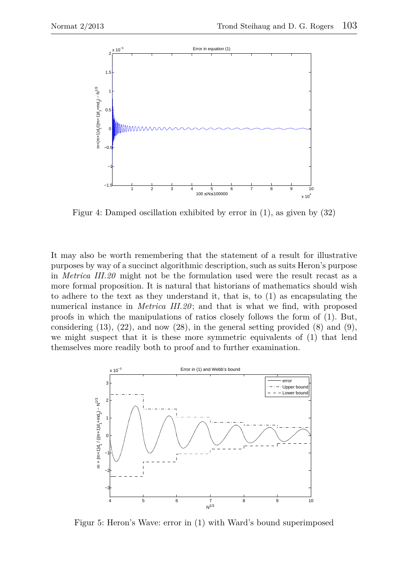

Figur 4: Damped oscillation exhibited by error in (1), as given by (32)

It may also be worth remembering that the statement of a result for illustrative purposes by way of a succinct algorithmic description, such as suits Heron's purpose in *Metrica III.20* might not be the formulation used were the result recast as a more formal proposition. It is natural that historians of mathematics should wish to adhere to the text as they understand it, that is, to (1) as encapsulating the numerical instance in *Metrica III.20* ; and that is what we find, with proposed proofs in which the manipulations of ratios closely follows the form of (1). But, considering  $(13)$ ,  $(22)$ , and now  $(28)$ , in the general setting provided  $(8)$  and  $(9)$ , we might suspect that it is these more symmetric equivalents of (1) that lend themselves more readily both to proof and to further examination.



Figur 5: Heron's Wave: error in (1) with Ward's bound superimposed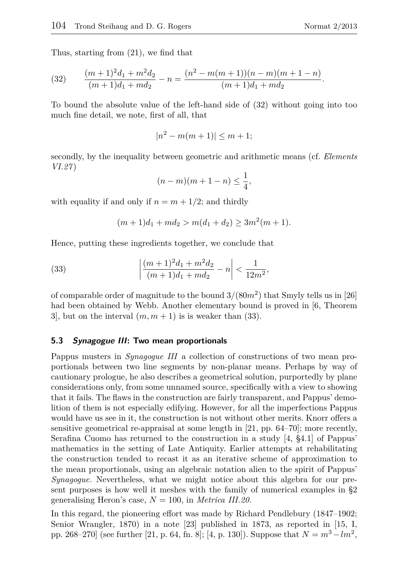Thus, starting from (21), we find that

(32) 
$$
\frac{(m+1)^2d_1+m^2d_2}{(m+1)d_1+md_2} - n = \frac{(n^2-m(m+1))(n-m)(m+1-n)}{(m+1)d_1+md_2}.
$$

To bound the absolute value of the left-hand side of (32) without going into too much fine detail, we note, first of all, that

$$
|n^2 - m(m+1)| \le m + 1;
$$

secondly, by the inequality between geometric and arithmetic means (cf. *Elements VI.27* )

$$
(n-m)(m+1-n) \le \frac{1}{4},
$$

with equality if and only if  $n = m + 1/2$ ; and thirdly

$$
(m+1)d_1 + md_2 > m(d_1 + d_2) \ge 3m^2(m+1).
$$

Hence, putting these ingredients together, we conclude that

(33) 
$$
\left| \frac{(m+1)^2 d_1 + m^2 d_2}{(m+1)d_1 + md_2} - n \right| < \frac{1}{12m^2},
$$

of comparable order of magnitude to the bound 3*/*(80*m*<sup>2</sup> ) that Smyly tells us in [26] had been obtained by Webb. Another elementary bound is proved in [6, Theorem 3, but on the interval  $(m, m + 1)$  is is weaker than (33).

#### **5.3 Synagogue III: Two mean proportionals**

Pappus musters in *Synagogue III* a collection of constructions of two mean proportionals between two line segments by non-planar means. Perhaps by way of cautionary prologue, he also describes a geometrical solution, purportedly by plane considerations only, from some unnamed source, specifically with a view to showing that it fails. The flaws in the construction are fairly transparent, and Pappus' demolition of them is not especially edifying. However, for all the imperfections Pappus would have us see in it, the construction is not without other merits. Knorr offers a sensitive geometrical re-appraisal at some length in [21, pp. 64–70]; more recently, Serafina Cuomo has returned to the construction in a study [4, §4.1] of Pappus' mathematics in the setting of Late Antiquity. Earlier attempts at rehabilitating the construction tended to recast it as an iterative scheme of approximation to the mean proportionals, using an algebraic notation alien to the spirit of Pappus' *Synagogue*. Nevertheless, what we might notice about this algebra for our present purposes is how well it meshes with the family of numerical examples in §2 generalising Heron's case, *N* = 100, in *Metrica III.20*.

In this regard, the pioneering effort was made by Richard Pendlebury (1847–1902; Senior Wrangler, 1870) in a note [23] published in 1873, as reported in [15, I, pp. 268–270] (see further [21, p. 64, fn. 8]; [4, p. 130]). Suppose that  $N = m^3 - lm^2$ ,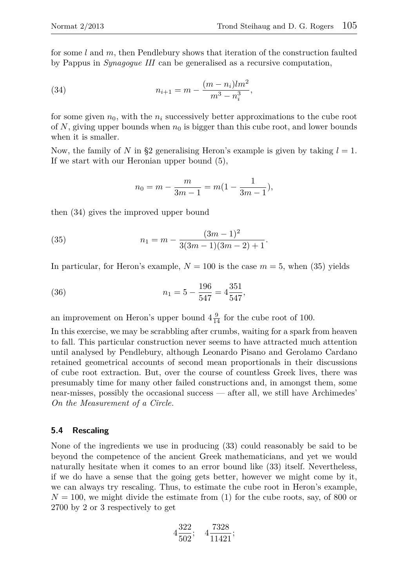for some *l* and *m*, then Pendlebury shows that iteration of the construction faulted by Pappus in *Synagogue III* can be generalised as a recursive computation,

(34) 
$$
n_{i+1} = m - \frac{(m-n_i)lm^2}{m^3 - n_i^3},
$$

for some given  $n_0$ , with the  $n_i$  successively better approximations to the cube root of N, giving upper bounds when  $n_0$  is bigger than this cube root, and lower bounds when it is smaller.

Now, the family of *N* in §2 generalising Heron's example is given by taking *l* = 1. If we start with our Heronian upper bound (5),

$$
n_0 = m - \frac{m}{3m - 1} = m(1 - \frac{1}{3m - 1}),
$$

then (34) gives the improved upper bound

(35) 
$$
n_1 = m - \frac{(3m-1)^2}{3(3m-1)(3m-2)+1}.
$$

In particular, for Heron's example,  $N = 100$  is the case  $m = 5$ , when (35) yields

(36) 
$$
n_1 = 5 - \frac{196}{547} = 4\frac{351}{547},
$$

an improvement on Heron's upper bound  $4\frac{9}{14}$  for the cube root of 100.

In this exercise, we may be scrabbling after crumbs, waiting for a spark from heaven to fall. This particular construction never seems to have attracted much attention until analysed by Pendlebury, although Leonardo Pisano and Gerolamo Cardano retained geometrical accounts of second mean proportionals in their discussions of cube root extraction. But, over the course of countless Greek lives, there was presumably time for many other failed constructions and, in amongst them, some near-misses, possibly the occasional success — after all, we still have Archimedes' *On the Measurement of a Circle*.

#### **5.4 Rescaling**

None of the ingredients we use in producing (33) could reasonably be said to be beyond the competence of the ancient Greek mathematicians, and yet we would naturally hesitate when it comes to an error bound like (33) itself. Nevertheless, if we do have a sense that the going gets better, however we might come by it, we can always try rescaling. Thus, to estimate the cube root in Heron's example,  $N = 100$ , we might divide the estimate from  $(1)$  for the cube roots, say, of 800 or 2700 by 2 or 3 respectively to get

$$
4\frac{322}{502}; \quad 4\frac{7328}{11421};
$$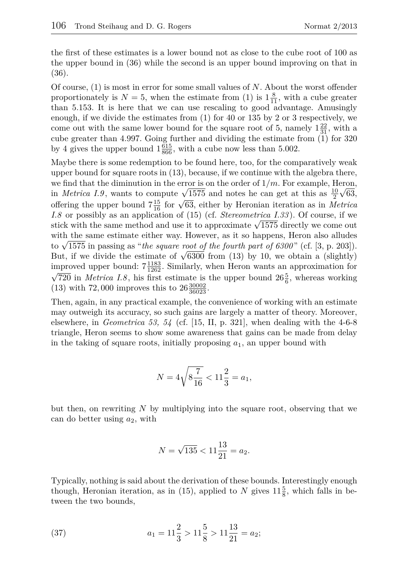the first of these estimates is a lower bound not as close to the cube root of 100 as the upper bound in (36) while the second is an upper bound improving on that in (36).

Of course, (1) is most in error for some small values of *N*. About the worst offender proportionately is  $N = 5$ , when the estimate from (1) is  $1\frac{8}{11}$ , with a cube greater than 5.153. It is here that we can use rescaling to good advantage. Amusingly enough, if we divide the estimates from (1) for 40 or 135 by 2 or 3 respectively, we come out with the same lower bound for the square root of 5, namely  $1\frac{22}{31}$ , with a cube greater than 4.997. Going further and dividing the estimate from (1) for 320 by 4 gives the upper bound  $1\frac{615}{866}$ , with a cube now less than 5.002.

Maybe there is some redemption to be found here, too, for the comparatively weak upper bound for square roots in (13), because, if we continue with the algebra there, we find that the diminution in the error is on the order of  $1/m$ . For example, Heron, we find that the diminution in the error is on the order of  $1/m$ . For example, Heron,<br>in *Metrica 1.9*, wants to compute  $\sqrt{1575}$  and notes he can get at this as  $\frac{10}{2}\sqrt{63}$ , offering the upper bound  $7\frac{15}{16}$  for  $\sqrt{63}$ , either by Heronian iteration as in *Metrica I.8* or possibly as an application of (15) (cf. *Stereometrica I.33*). Of course, if we *I.8* or possibly as an application of (15) (cf. *Stereometrica 1.33*). Of course, if we stick with the same method and use it to approximate  $\sqrt{1575}$  directly we come out with the same estimate either way. However, as it so happens, Heron also alludes with the same estimate either way. However, as it so happens, Heron also alludes to  $\sqrt{1575}$  in passing as "*the square root of the fourth part of 6300*" (cf. [3, p. 203]). to  $\sqrt{1575}$  in passing as "*the square root of the fourth part of 6300"* (cf. [3, p. 203]).<br>But, if we divide the estimate of  $\sqrt{6300}$  from (13) by 10, we obtain a (slightly) improved upper bound:  $7\frac{1183}{1262}$ . Similarly, when Heron wants an approximation for  $\overline{720}$  in *Metrica I.8*, his first estimate is the upper bound  $26\frac{5}{6}$ , whereas working (13) with 72,000 improves this to  $26\frac{30002}{36023}$ .

Then, again, in any practical example, the convenience of working with an estimate may outweigh its accuracy, so such gains are largely a matter of theory. Moreover, elsewhere, in *Geometrica 53, 54* (cf. [15, II, p. 321], when dealing with the 4-6-8 triangle, Heron seems to show some awareness that gains can be made from delay in the taking of square roots, initially proposing  $a_1$ , an upper bound with

$$
N = 4\sqrt{8\frac{7}{16}} < 11\frac{2}{3} = a_1,
$$

but then, on rewriting *N* by multiplying into the square root, observing that we can do better using *a*2, with

$$
N = \sqrt{135} < 11\frac{13}{21} = a_2.
$$

Typically, nothing is said about the derivation of these bounds. Interestingly enough though, Heronian iteration, as in (15), applied to  $N$  gives  $11\frac{5}{8}$ , which falls in between the two bounds,

(37) 
$$
a_1 = 11\frac{2}{3} > 11\frac{5}{8} > 11\frac{13}{21} = a_2;
$$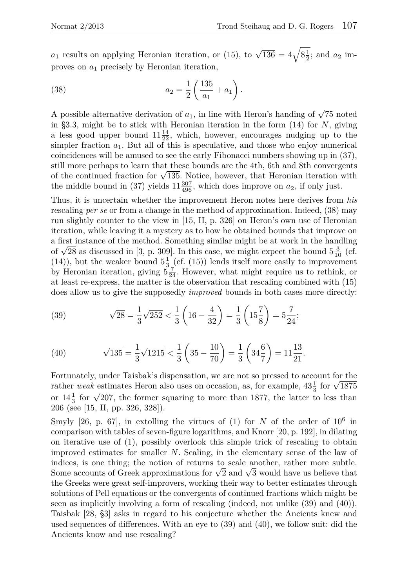$a_1$  results on applying Heronian iteration, or (15), to  $\sqrt{136} = 4\sqrt{8\frac{1}{2}}$ ; and  $a_2$  improves on *a*<sup>1</sup> precisely by Heronian iteration,

(38) 
$$
a_2 = \frac{1}{2} \left( \frac{135}{a_1} + a_1 \right).
$$

A possible alternative derivation of  $a_1$ , in line with Heron's handing of  $\sqrt{75}$  noted in §3.3, might be to stick with Heronian iteration in the form (14) for *N*, giving a less good upper bound  $11\frac{14}{22}$ , which, however, encourages nudging up to the simpler fraction  $a_1$ . But all of this is speculative, and those who enjoy numerical coincidences will be amused to see the early Fibonacci numbers showing up in (37), still more perhaps to learn that these bounds are the 4th, 6th and 8th convergents still more perhaps to learn that these bounds are the 4th, oth and 8th convergents of the continued fraction for  $\sqrt{135}$ . Notice, however, that Heronian iteration with the middle bound in (37) yields  $11\frac{307}{496}$ , which does improve on  $a_2$ , if only just.

Thus, it is uncertain whether the improvement Heron notes here derives from *his* rescaling *per se* or from a change in the method of approximation. Indeed, (38) may run slightly counter to the view in [15, II, p. 326] on Heron's own use of Heronian iteration, while leaving it a mystery as to how he obtained bounds that improve on a first instance of the method. Something similar might be at work in the handling a first instance of the method. Something similar might be at work in the handling of  $\sqrt{28}$  as discussed in [3, p. 309]. In this case, we might expect the bound  $5\frac{3}{10}$  (cf. (14)), but the weaker bound  $5\frac{1}{3}$  (cf. (15)) lends itself more easily to improvement by Heronian iteration, giving  $5\frac{7}{24}$ . However, what might require us to rethink, or at least re-express, the matter is the observation that rescaling combined with (15) does allow us to give the supposedly *improved* bounds in both cases more directly:

(39) 
$$
\sqrt{28} = \frac{1}{3}\sqrt{252} < \frac{1}{3}\left(16 - \frac{4}{32}\right) = \frac{1}{3}\left(15\frac{7}{8}\right) = 5\frac{7}{24};
$$

(40) 
$$
\sqrt{135} = \frac{1}{3}\sqrt{1215} < \frac{1}{3}\left(35 - \frac{10}{70}\right) = \frac{1}{3}\left(34\frac{6}{7}\right) = 11\frac{13}{21}.
$$

Fortunately, under Taisbak's dispensation, we are not so pressed to account for the Fortunately, under Taisbak's dispensation, we are not so pressed to account for the rather *weak* estimates Heron also uses on occasion, as, for example,  $43\frac{1}{3}$  for  $\sqrt{1875}$ Fraction and the former squaring to more than 1877, the latter to less than or  $14\frac{1}{3}$  for  $\sqrt{207}$ , the former squaring to more than 1877, the latter to less than 206 (see [15, II, pp. 326, 328]).

Smyly  $[26, p. 67]$ , in extolling the virtues of  $(1)$  for *N* of the order of  $10^6$  in comparison with tables of seven-figure logarithms, and Knorr [20, p. 192], in dilating on iterative use of (1), possibly overlook this simple trick of rescaling to obtain improved estimates for smaller *N*. Scaling, in the elementary sense of the law of indices, is one thing; the notion of returns to scale another, rather more subtle. marces, is one thing; the notion of returns to scale another, rather more subtle.<br>Some accounts of Greek approximations for  $\sqrt{2}$  and  $\sqrt{3}$  would have us believe that the Greeks were great self-improvers, working their way to better estimates through solutions of Pell equations or the convergents of continued fractions which might be seen as implicitly involving a form of rescaling (indeed, not unlike (39) and (40)). Taisbak [28, §3] asks in regard to his conjecture whether the Ancients knew and used sequences of differences. With an eye to (39) and (40), we follow suit: did the Ancients know and use rescaling?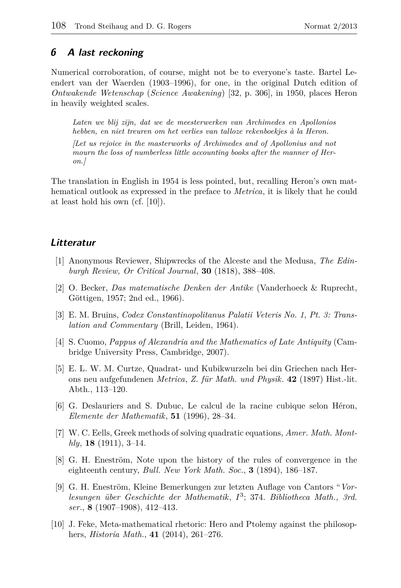## **6 A last reckoning**

Numerical corroboration, of course, might not be to everyone's taste. Bartel Leendert van der Waerden (1903–1996), for one, in the original Dutch edition of *Ontwakende Wetenschap* (*Science Awakening*) [32, p. 306], in 1950, places Heron in heavily weighted scales.

*Laten we blij zijn, dat we de meesterwerken van Archimedes en Apollonios hebben, en niet treuren om het verlies van talloze rekenboekjes à la Heron.*

*[Let us rejoice in the masterworks of Archimedes and of Apollonius and not mourn the loss of numberless little accounting books after the manner of Heron.]*

The translation in English in 1954 is less pointed, but, recalling Heron's own mathematical outlook as expressed in the preface to *Metrica*, it is likely that he could at least hold his own (cf. [10]).

## **Litteratur**

- [1] Anonymous Reviewer, Shipwrecks of the Alceste and the Medusa, *The Edinburgh Review, Or Critical Journal*, **30** (1818), 388–408.
- [2] O. Becker, *Das matematische Denken der Antike* (Vanderhoeck & Ruprecht, Göttigen, 1957; 2nd ed., 1966).
- [3] E. M. Bruins, *Codex Constantinopolitanus Palatii Veteris No. 1, Pt. 3: Translation and Commentary* (Brill, Leiden, 1964).
- [4] S. Cuomo, *Pappus of Alexandria and the Mathematics of Late Antiquity* (Cambridge University Press, Cambridge, 2007).
- [5] E. L. W. M. Curtze, Quadrat- und Kubikwurzeln bei din Griechen nach Herons neu aufgefundenen *Metrica*, *Z. für Math. und Physik*. **42** (1897) Hist.-lit. Abth., 113–120.
- [6] G. Deslauriers and S. Dubuc, Le calcul de la racine cubique selon Héron, *Elemente der Mathematik*, **51** (1996), 28–34.
- [7] W. C. Eells, Greek methods of solving quadratic equations, *Amer. Math. Monthly*, **18** (1911), 3–14.
- [8] G. H. Eneström, Note upon the history of the rules of convergence in the eighteenth century, *Bull. New York Math. Soc.*, **3** (1894), 186–187.
- [9] G. H. Eneström, Kleine Bemerkungen zur letzten Auflage von Cantors "*Vorlesungen über Geschichte der Mathematik*, *I* 3 ; 374. *Bibliotheca Math., 3rd. ser.*, **8** (1907–1908), 412–413.
- [10] J. Feke, Meta-mathematical rhetoric: Hero and Ptolemy against the philosophers, *Historia Math.*, **41** (2014), 261–276.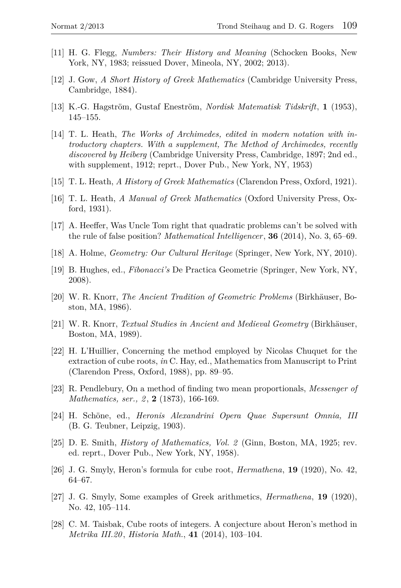- [11] H. G. Flegg, *Numbers: Their History and Meaning* (Schocken Books, New York, NY, 1983; reissued Dover, Mineola, NY, 2002; 2013).
- [12] J. Gow, *A Short History of Greek Mathematics* (Cambridge University Press, Cambridge, 1884).
- [13] K.-G. Hagström, Gustaf Eneström, *Nordisk Matematisk Tidskrift*, **1** (1953), 145–155.
- [14] T. L. Heath, *The Works of Archimedes, edited in modern notation with introductory chapters. With a supplement, The Method of Archimedes, recently discovered by Heiberg* (Cambridge University Press, Cambridge, 1897; 2nd ed., with supplement, 1912; reprt., Dover Pub., New York, NY, 1953)
- [15] T. L. Heath, *A History of Greek Mathematics* (Clarendon Press, Oxford, 1921).
- [16] T. L. Heath, *A Manual of Greek Mathematics* (Oxford University Press, Oxford, 1931).
- [17] A. Heeffer, Was Uncle Tom right that quadratic problems can't be solved with the rule of false position? *Mathematical Intelligencer*, **36** (2014), No. 3, 65–69.
- [18] A. Holme, *Geometry: Our Cultural Heritage* (Springer, New York, NY, 2010).
- [19] B. Hughes, ed., *Fibonacci's* De Practica Geometrie (Springer, New York, NY, 2008).
- [20] W. R. Knorr, *The Ancient Tradition of Geometric Problems* (Birkhäuser, Boston, MA, 1986).
- [21] W. R. Knorr, *Textual Studies in Ancient and Medieval Geometry* (Birkhäuser, Boston, MA, 1989).
- [22] H. L'Huillier, Concerning the method employed by Nicolas Chuquet for the extraction of cube roots, *in* C. Hay, ed., Mathematics from Manuscript to Print (Clarendon Press, Oxford, 1988), pp. 89–95.
- [23] R. Pendlebury, On a method of finding two mean proportionals, *Messenger of Mathematics, ser., 2* , **2** (1873), 166-169.
- [24] H. Schöne, ed., *Heronis Alexandrini Opera Quae Supersunt Omnia, III* (B. G. Teubner, Leipzig, 1903).
- [25] D. E. Smith, *History of Mathematics, Vol. 2* (Ginn, Boston, MA, 1925; rev. ed. reprt., Dover Pub., New York, NY, 1958).
- [26] J. G. Smyly, Heron's formula for cube root, *Hermathena*, **19** (1920), No. 42, 64–67.
- [27] J. G. Smyly, Some examples of Greek arithmetics, *Hermathena*, **19** (1920), No. 42, 105–114.
- [28] C. M. Taisbak, Cube roots of integers. A conjecture about Heron's method in *Metrika III.20* , *Historia Math.*, **41** (2014), 103–104.